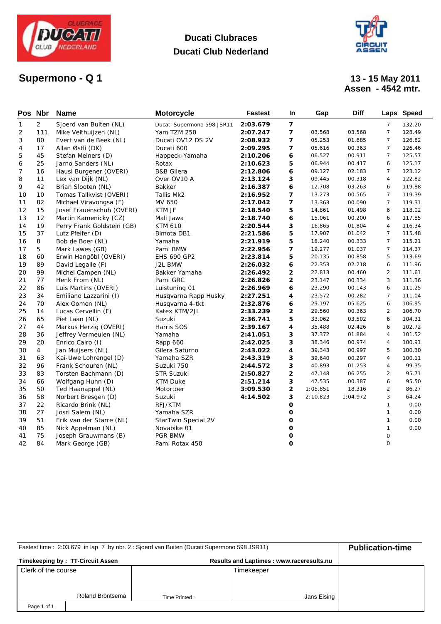

# **Supermono - Q1**

### **Ducati Clubraces Ducati Club Nederland**



# **Assen - 4542 mtr.**

| Pos Nbr |                | <b>Name</b>                | <b>Motorcycle</b>          | <b>Fastest</b> | In.                     | Gap      | <b>Diff</b> |                | Laps Speed |
|---------|----------------|----------------------------|----------------------------|----------------|-------------------------|----------|-------------|----------------|------------|
| 1       | $\overline{2}$ | Sjoerd van Buiten (NL)     | Ducati Supermono 598 JSR11 | 2:03.679       | $\overline{7}$          |          |             | $\overline{7}$ | 132.20     |
| 2       | 111            | Mike Velthuijzen (NL)      | Yam TZM 250                | 2:07.247       | 7                       | 03.568   | 03.568      | $\overline{7}$ | 128.49     |
| 3       | 80             | Evert van de Beek (NL)     | Ducati OV12 DS 2V          | 2:08.932       | 7                       | 05.253   | 01.685      | $\overline{7}$ | 126.82     |
| 4       | 17             | Allan Østli (DK)           | Ducati 600                 | 2:09.295       | 7                       | 05.616   | 00.363      | $\overline{7}$ | 126.46     |
| 5       | 45             | Stefan Meiners (D)         | Happeck-Yamaha             | 2:10.206       | 6                       | 06.527   | 00.911      | $\overline{7}$ | 125.57     |
| 6       | 25             | Jarno Sanders (NL)         | Rotax                      | 2:10.623       | 5                       | 06.944   | 00.417      | 6              | 125.17     |
| 7       | 16             | Hausi Burgener (OVERI)     | <b>B&amp;B Gilera</b>      | 2:12.806       | 6                       | 09.127   | 02.183      | $\overline{7}$ | 123.12     |
| 8       | 11             | Lex van Dijk (NL)          | Over OV10 A                | 2:13.124       | 3                       | 09.445   | 00.318      | $\overline{4}$ | 122.82     |
| 9       | 42             | Brian Slooten (NL)         | Bakker                     | 2:16.387       | 6                       | 12.708   | 03.263      | 6              | 119.88     |
| 10      | 10             | Tomas Tallkvist (OVERI)    | Tallis Mk2                 | 2:16.952       | $\overline{ }$          | 13.273   | 00.565      | $\overline{7}$ | 119.39     |
| 11      | 82             | Michael Viravongsa (F)     | MV 650                     | 2:17.042       | 7                       | 13.363   | 00.090      | $\overline{7}$ | 119.31     |
| 12      | 15             | Josef Frauenschuh (OVERI)  | KTM JF                     | 2:18.540       | 5                       | 14.861   | 01.498      | 6              | 118.02     |
| 13      | 12             | Martin Kamenicky (CZ)      | Mali Jawa                  | 2:18.740       | 6                       | 15.061   | 00.200      | 6              | 117.85     |
| 14      | 19             | Perry Frank Goldstein (GB) | <b>KTM 610</b>             | 2:20.544       | 3                       | 16.865   | 01.804      | $\overline{4}$ | 116.34     |
| 15      | 37             | Lutz Pfeifer (D)           | Bimota DB1                 | 2:21.586       | 5                       | 17.907   | 01.042      | $\overline{7}$ | 115.48     |
| 16      | 8              | Bob de Boer (NL)           | Yamaha                     | 2:21.919       | 5                       | 18.240   | 00.333      | $\overline{7}$ | 115.21     |
| 17      | 5              | Mark Lawes (GB)            | Pami BMW                   | 2:22.956       | 7                       | 19.277   | 01.037      | $\overline{7}$ | 114.37     |
| 18      | 60             | Erwin Hangöbl (OVERI)      | <b>EHS 690 GP2</b>         | 2:23.814       | 5                       | 20.135   | 00.858      | 5              | 113.69     |
| 19      | 89             | David Legalle (F)          | J2L BMW                    | 2:26.032       | 6                       | 22.353   | 02.218      | 6              | 111.96     |
| 20      | 99             | Michel Campen (NL)         | Bakker Yamaha              | 2:26.492       | 2                       | 22.813   | 00.460      | $\overline{2}$ | 111.61     |
| 21      | 77             | Henk From (NL)             | Pami GRC                   | 2:26.826       | $\overline{2}$          | 23.147   | 00.334      | 3              | 111.36     |
| 22      | 86             | Luis Martins (OVERI)       | Luistuning 01              | 2:26.969       | 6                       | 23.290   | 00.143      | 6              | 111.25     |
| 23      | 34             | Emiliano Lazzarini (I)     | Husqvarna Rapp Husky       | 2:27.251       | 4                       | 23.572   | 00.282      | $\overline{7}$ | 111.04     |
| 24      | 70             | Alex Oomen (NL)            | Husqvarna 4-tkt            | 2:32.876       | 6                       | 29.197   | 05.625      | 6              | 106.95     |
| 25      | 14             | Lucas Cervellin (F)        | Katex KTM/2JL              | 2:33.239       | $\overline{2}$          | 29.560   | 00.363      | 2              | 106.70     |
| 26      | 65             | Piet Laan (NL)             | Suzuki                     | 2:36.741       | 5                       | 33.062   | 03.502      | 6              | 104.31     |
| 27      | 44             | Markus Herzig (OVERI)      | Harris SOS                 | 2:39.167       | 4                       | 35.488   | 02.426      | 6              | 102.72     |
| 28      | 36             | Jeffrey Vermeulen (NL)     | Yamaha                     | 2:41.051       | 3                       | 37.372   | 01.884      | $\overline{4}$ | 101.52     |
| 29      | 20             | Enrico Cairo (I)           | Rapp 660                   | 2:42.025       | 3                       | 38.346   | 00.974      | $\overline{4}$ | 100.91     |
| 30      | 4              | Jan Muijsers (NL)          | Gilera Saturno             | 2:43.022       | 4                       | 39.343   | 00.997      | 5              | 100.30     |
| 31      | 63             | Kai-Uwe Lohrengel (D)      | Yamaha SZR                 | 2:43.319       | 3                       | 39.640   | 00.297      | $\overline{4}$ | 100.11     |
| 32      | 96             | Frank Schouren (NL)        | Suzuki 750                 | 2:44.572       | 3                       | 40.893   | 01.253      | $\overline{4}$ | 99.35      |
| 33      | 83             | Torsten Bachmann (D)       | <b>STR Suzuki</b>          | 2:50.827       | 2                       | 47.148   | 06.255      | $\overline{2}$ | 95.71      |
| 34      | 66             | Wolfgang Huhn (D)          | <b>KTM Duke</b>            | 2:51.214       | 3                       | 47.535   | 00.387      | 6              | 95.50      |
| 35      | 50             | Ted Haanappel (NL)         | Motortoer                  | 3:09.530       | $\overline{\mathbf{2}}$ | 1:05.851 | 18.316      | 2              | 86.27      |
| 36      | 58             | Norbert Bresgen (D)        | Suzuki                     | 4:14.502       | 3                       | 2:10.823 | 1:04.972    | 3              | 64.24      |
| 37      | 22             | Ricardo Brink (NL)         | RFJ/KTM                    |                | 0                       |          |             | $\mathbf{1}$   | 0.00       |
| 38      | 27             | Josri Salem (NL)           | Yamaha SZR                 |                | O                       |          |             | $\mathbf{1}$   | 0.00       |
| 39      | 51             | Erik van der Starre (NL)   | StarTwin Special 2V        |                | 0                       |          |             | $\mathbf{1}$   | 0.00       |
| 40      | 85             | Nick Appelman (NL)         | Novabike 01                |                | O                       |          |             | $\mathbf{1}$   | 0.00       |
| 41      | 75             | Joseph Grauwmans (B)       | <b>PGR BMW</b>             |                | o                       |          |             | 0              |            |
| 42      | 84             | Mark George (GB)           | Pami Rotax 450             |                | O                       |          |             | $\mathbf 0$    |            |

| Fastest time: 2:03.679 in lap 7 by nbr. 2: Sjoerd van Buiten (Ducati Supermono 598 JSR11) | <b>Publication-time</b> |               |             |  |
|-------------------------------------------------------------------------------------------|-------------------------|---------------|-------------|--|
| Timekeeping by: TT-Circuit Assen                                                          |                         |               |             |  |
| Clerk of the course                                                                       |                         |               | Timekeeper  |  |
|                                                                                           |                         |               |             |  |
|                                                                                           | <b>Roland Brontsema</b> |               |             |  |
|                                                                                           |                         | Time Printed: | Jans Eising |  |
| Page 1 of 1                                                                               |                         |               |             |  |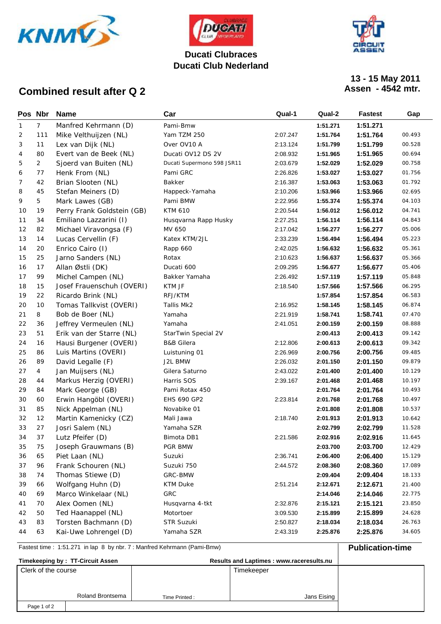



**Ducati Club Nederland**

# **13 - 15 May 2011**

### **Combined result after Q 2**

| Pos Nbr |                | <b>Name</b>                | Car                        | Qual-1   | Qual-2   | <b>Fastest</b> | Gap    |
|---------|----------------|----------------------------|----------------------------|----------|----------|----------------|--------|
| 1       | $7^{\circ}$    | Manfred Kehrmann (D)       | Pami-Bmw                   |          | 1:51.271 | 1:51.271       |        |
| 2       | 111            | Mike Velthuijzen (NL)      | Yam TZM 250                | 2:07.247 | 1:51.764 | 1:51.764       | 00.493 |
| 3       | 11             | Lex van Dijk (NL)          | Over OV10 A                | 2:13.124 | 1:51.799 | 1:51.799       | 00.528 |
| 4       | 80             | Evert van de Beek (NL)     | Ducati OV12 DS 2V          | 2:08.932 | 1:51.965 | 1:51.965       | 00.694 |
| 5       | $\overline{2}$ | Sjoerd van Buiten (NL)     | Ducati Supermono 598 JSR11 | 2:03.679 | 1:52.029 | 1:52.029       | 00.758 |
| 6       | 77             | Henk From (NL)             | Pami GRC                   | 2:26.826 | 1:53.027 | 1:53.027       | 01.756 |
| 7       | 42             | Brian Slooten (NL)         | Bakker                     | 2:16.387 | 1:53.063 | 1:53.063       | 01.792 |
| 8       | 45             | Stefan Meiners (D)         | Happeck-Yamaha             | 2:10.206 | 1:53.966 | 1:53.966       | 02.695 |
| 9       | 5              | Mark Lawes (GB)            | Pami BMW                   | 2:22.956 | 1:55.374 | 1:55.374       | 04.103 |
| 10      | 19             | Perry Frank Goldstein (GB) | <b>KTM 610</b>             | 2:20.544 | 1:56.012 | 1:56.012       | 04.741 |
| 11      | 34             | Emiliano Lazzarini (I)     | Husqvarna Rapp Husky       | 2:27.251 | 1:56.114 | 1:56.114       | 04.843 |
| 12      | 82             | Michael Viravongsa (F)     | MV 650                     | 2:17.042 | 1:56.277 | 1:56.277       | 05.006 |
| 13      | 14             | Lucas Cervellin (F)        | Katex KTM/2JL              | 2:33.239 | 1:56.494 | 1:56.494       | 05.223 |
| 14      | 20             | Enrico Cairo (I)           | Rapp 660                   | 2:42.025 | 1:56.632 | 1:56.632       | 05.361 |
| 15      | 25             | Jarno Sanders (NL)         | Rotax                      | 2:10.623 | 1:56.637 | 1:56.637       | 05.366 |
| 16      | 17             | Allan Østli (DK)           | Ducati 600                 | 2:09.295 | 1:56.677 | 1:56.677       | 05.406 |
| 17      | 99             | Michel Campen (NL)         | Bakker Yamaha              | 2:26.492 | 1:57.119 | 1:57.119       | 05.848 |
| 18      | 15             | Josef Frauenschuh (OVERI)  | KTM JF                     | 2:18.540 | 1:57.566 | 1:57.566       | 06.295 |
| 19      | 22             | Ricardo Brink (NL)         | RFJ/KTM                    |          | 1:57.854 | 1:57.854       | 06.583 |
| 20      | 10             | Tomas Tallkvist (OVERI)    | Tallis Mk2                 | 2:16.952 | 1:58.145 | 1:58.145       | 06.874 |
| 21      | 8              | Bob de Boer (NL)           | Yamaha                     | 2:21.919 | 1:58.741 | 1:58.741       | 07.470 |
| 22      | 36             | Jeffrey Vermeulen (NL)     | Yamaha                     | 2:41.051 | 2:00.159 | 2:00.159       | 08.888 |
| 23      | 51             | Erik van der Starre (NL)   | StarTwin Special 2V        |          | 2:00.413 | 2:00.413       | 09.142 |
| 24      | 16             | Hausi Burgener (OVERI)     | <b>B&amp;B</b> Gilera      | 2:12.806 | 2:00.613 | 2:00.613       | 09.342 |
| 25      | 86             | Luis Martins (OVERI)       | Luistuning 01              | 2:26.969 | 2:00.756 | 2:00.756       | 09.485 |
| 26      | 89             | David Legalle (F)          | J2L BMW                    | 2:26.032 | 2:01.150 | 2:01.150       | 09.879 |
| 27      | $\overline{4}$ | Jan Muijsers (NL)          | Gilera Saturno             | 2:43.022 | 2:01.400 | 2:01.400       | 10.129 |
| 28      | 44             | Markus Herzig (OVERI)      | Harris SOS                 | 2:39.167 | 2:01.468 | 2:01.468       | 10.197 |
| 29      | 84             | Mark George (GB)           | Pami Rotax 450             |          | 2:01.764 | 2:01.764       | 10.493 |
| 30      | 60             | Erwin Hangöbl (OVERI)      | EHS 690 GP2                | 2:23.814 | 2:01.768 | 2:01.768       | 10.497 |
| 31      | 85             | Nick Appelman (NL)         | Novabike 01                |          | 2:01.808 | 2:01.808       | 10.537 |
| 32      | 12             | Martin Kamenicky (CZ)      | Mali Jawa                  | 2:18.740 | 2:01.913 | 2:01.913       | 10.642 |
| 33      | 27             | Josri Salem (NL)           | Yamaha SZR                 |          | 2:02.799 | 2:02.799       | 11.528 |
| 34      | 37             | Lutz Pfeifer (D)           | Bimota DB1                 | 2:21.586 | 2:02.916 | 2:02.916       | 11.645 |
| 35      | 75             | Joseph Grauwmans (B)       | PGR BMW                    |          | 2:03.700 | 2:03.700       | 12.429 |
| 36      | 65             | Piet Laan (NL)             | Suzuki                     | 2:36.741 | 2:06.400 | 2:06.400       | 15.129 |
| 37      | 96             | Frank Schouren (NL)        | Suzuki 750                 | 2:44.572 | 2:08.360 | 2:08.360       | 17.089 |
| 38      | 74             | Thomas Stiewe (D)          | GRC-BMW                    |          | 2:09.404 | 2:09.404       | 18.133 |
| 39      | 66             | Wolfgang Huhn (D)          | <b>KTM Duke</b>            | 2:51.214 | 2:12.671 | 2:12.671       | 21.400 |
| 40      | 69             | Marco Winkelaar (NL)       | GRC                        |          | 2:14.046 | 2:14.046       | 22.775 |
| 41      | 70             | Alex Oomen (NL)            | Husqvarna 4-tkt            | 2:32.876 | 2:15.121 | 2:15.121       | 23.850 |
| 42      | 50             | Ted Haanappel (NL)         | Motortoer                  | 3:09.530 | 2:15.899 | 2:15.899       | 24.628 |
| 43      | 83             | Torsten Bachmann (D)       | STR Suzuki                 | 2:50.827 | 2:18.034 | 2:18.034       | 26.763 |
| 44      | 63             | Kai-Uwe Lohrengel (D)      | Yamaha SZR                 | 2:43.319 | 2:25.876 | 2:25.876       | 34.605 |

Fastest time : 1:51.271 in lap 8 by nbr. 7 : Manfred Kehrmann (Pami-Bmw) **Publication-time Timekeeping by : TT-Circuit Assen Results and Laptimes : www.raceresults.nu** Clerk of the course **Timekeeper** Timekeeper Roland Brontsema Jans Eising Page 1 of 2 Time Printed :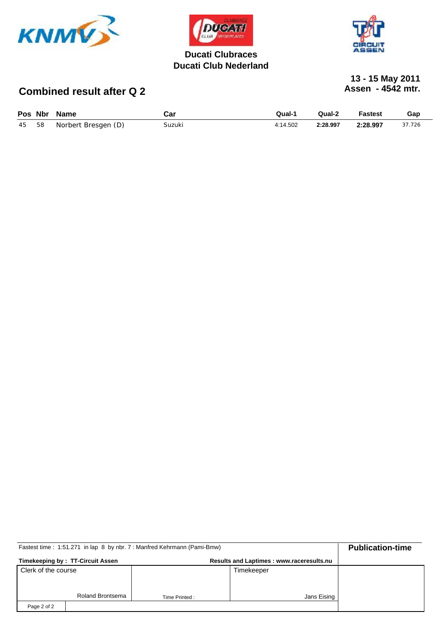



#### **Ducati Clubraces Ducati Club Nederland**



# **13 - 15 May 2011**

# **Combined result after Q 2**

| Pos Nbr | Name                | Car    | Qual-1   | Qual-2   | <b>Fastest</b> | Gap    |
|---------|---------------------|--------|----------|----------|----------------|--------|
| 45 58   | Norbert Bresgen (D) | Suzuki | 4:14.502 | 2:28.997 | 2:28.997       | 37.726 |

| Fastest time: 1:51.271 in lap 8 by nbr. 7: Manfred Kehrmann (Pami-Bmw) | <b>Publication-time</b> |               |             |  |
|------------------------------------------------------------------------|-------------------------|---------------|-------------|--|
| Timekeeping by: TT-Circuit Assen                                       |                         |               |             |  |
| Clerk of the course                                                    |                         |               | Timekeeper  |  |
|                                                                        |                         |               |             |  |
|                                                                        | Roland Brontsema        | Time Printed: | Jans Eising |  |
| Page 2 of 2                                                            |                         |               |             |  |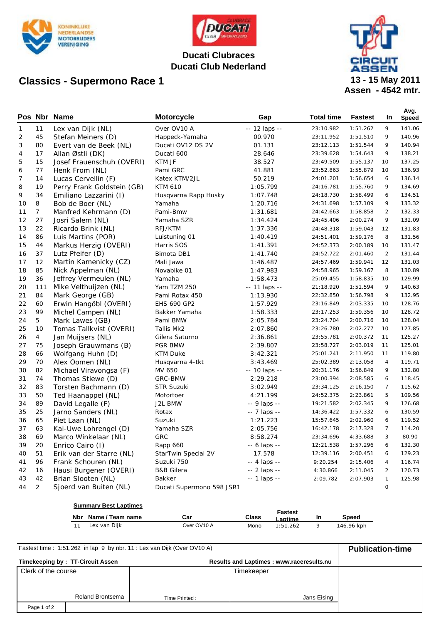

## **Classics - Supermono Race 1**



### **Ducati Clubraces Ducati Club Nederland**



**Assen - 4542 mtr. 13 - 15 May 2011**

|                |                | Pos Nbr Name               | <b>Motorcycle</b>         | Gap           | <b>Total time</b> | <b>Fastest</b> | <b>In</b>      | Avg.<br>Speed |
|----------------|----------------|----------------------------|---------------------------|---------------|-------------------|----------------|----------------|---------------|
| $\mathbf{1}$   | 11             | Lex van Dijk (NL)          | Over OV10 A               | -- 12 laps -- | 23:10.982         | 1:51.262       | 9              | 141.06        |
| $\overline{2}$ | 45             | Stefan Meiners (D)         | Happeck-Yamaha            | 00.970        | 23:11.952         | 1:51.510       | 9              | 140.96        |
| 3              | 80             | Evert van de Beek (NL)     | Ducati OV12 DS 2V         | 01.131        | 23:12.113         | 1:51.544       | 9              | 140.94        |
| 4              | 17             | Allan Østli (DK)           | Ducati 600                | 28.646        | 23:39.628         | 1:54.643       | 9              | 138.21        |
| 5              | 15             | Josef Frauenschuh (OVERI)  | KTM JF                    | 38.527        | 23:49.509         | 1:55.137       | 10             | 137.25        |
| 6              | 77             | Henk From (NL)             | Pami GRC                  | 41.881        | 23:52.863         | 1:55.879       | 10             | 136.93        |
| 7              | 14             | Lucas Cervellin (F)        | Katex KTM/2JL             | 50.219        | 24:01.201         | 1:56.654       | 6              | 136.14        |
| 8              | 19             | Perry Frank Goldstein (GB) | <b>KTM 610</b>            | 1:05.799      | 24:16.781         | 1:55.760       | 9              | 134.69        |
| 9              | 34             | Emiliano Lazzarini (I)     | Husqvarna Rapp Husky      | 1:07.748      | 24:18.730         | 1:58.499       | 6              | 134.51        |
| 10             | 8              | Bob de Boer (NL)           | Yamaha                    | 1:20.716      | 24:31.698         | 1:57.109       | 9              | 133.32        |
| 11             | $\overline{7}$ | Manfred Kehrmann (D)       | Pami-Bmw                  | 1:31.681      | 24:42.663         | 1:58.858       | $\overline{2}$ | 132.33        |
| 12             | 27             | Josri Salem (NL)           | Yamaha SZR                | 1:34.424      | 24:45.406         | 2:00.274       | 9              | 132.09        |
| 13             | 22             | Ricardo Brink (NL)         | RFJ/KTM                   | 1:37.336      | 24:48.318         | 1:59.043       | 12             | 131.83        |
| 14             | 86             | Luis Martins (POR)         | Luistuning 01             | 1:40.419      | 24:51.401         | 1:59.176       | 8              | 131.56        |
| 15             | 44             | Markus Herzig (OVERI)      | Harris SOS                | 1:41.391      | 24:52.373         | 2:00.189       | 10             | 131.47        |
| 16             | 37             | Lutz Pfeifer (D)           | Bimota DB1                | 1:41.740      | 24:52.722         | 2:01.460       | $\overline{2}$ | 131.44        |
| 17             | 12             | Martin Kamenicky (CZ)      | Mali Jawa                 | 1:46.487      | 24:57.469         | 1:59.941       | 12             | 131.03        |
| 18             | 85             | Nick Appelman (NL)         | Novabike 01               | 1:47.983      | 24:58.965         | 1:59.167       | 8              | 130.89        |
| 19             | 36             | Jeffrey Vermeulen (NL)     | Yamaha                    | 1:58.473      | 25:09.455         | 1:58.835       | 10             | 129.99        |
| 20             | 111            | Mike Velthuijzen (NL)      | Yam TZM 250               | -- 11 laps -- | 21:18.920         | 1:51.594       | 9              | 140.63        |
| 21             | 84             | Mark George (GB)           | Pami Rotax 450            | 1:13.930      | 22:32.850         | 1:56.798       | 9              | 132.95        |
| 22             | 60             | Erwin Hangöbl (OVERI)      | <b>EHS 690 GP2</b>        | 1:57.929      | 23:16.849         | 2:03.335       | 10             | 128.76        |
| 23             | 99             | Michel Campen (NL)         | Bakker Yamaha             | 1:58.333      | 23:17.253         | 1:59.356       | 10             | 128.72        |
| 24             | 5              | Mark Lawes (GB)            | Pami BMW                  | 2:05.784      | 23:24.704         | 2:00.716       | 10             | 128.04        |
| 25             | 10             | Tomas Tallkvist (OVERI)    | Tallis Mk2                | 2:07.860      | 23:26.780         | 2:02.277       | 10             | 127.85        |
| 26             | $\overline{4}$ | Jan Muijsers (NL)          | Gilera Saturno            | 2:36.861      | 23:55.781         | 2:00.372       | 11             | 125.27        |
| 27             | 75             | Joseph Grauwmans (B)       | PGR BMW                   | 2:39.807      | 23:58.727         | 2:03.019       | 11             | 125.01        |
| 28             | 66             | Wolfgang Huhn (D)          | <b>KTM Duke</b>           | 3:42.321      | 25:01.241         | 2:11.950       | 11             | 119.80        |
| 29             | 70             | Alex Oomen (NL)            | Husqvarna 4-tkt           | 3:43.469      | 25:02.389         | 2:13.058       | $\overline{4}$ | 119.71        |
| 30             | 82             | Michael Viravongsa (F)     | MV 650                    | -- 10 laps -- | 20:31.176         | 1:56.849       | 9              | 132.80        |
| 31             | 74             | Thomas Stiewe (D)          | GRC-BMW                   | 2:29.218      | 23:00.394         | 2:08.585       | 6              | 118.45        |
| 32             | 83             | Torsten Bachmann (D)       | STR Suzuki                | 3:02.949      | 23:34.125         | 2:16.150       | $\overline{7}$ | 115.62        |
| 33             | 50             | Ted Haanappel (NL)         | Motortoer                 | 4:21.199      | 24:52.375         | 2:23.861       | 5              | 109.56        |
| 34             | 89             | David Legalle (F)          | J2L BMW                   | -- 9 laps --  | 19:21.582         | 2:02.345       | 9              | 126.68        |
| 35             | 25             | Jarno Sanders (NL)         | Rotax                     | -- 7 laps --  | 14:36.422         | 1:57.332       | 6              | 130.59        |
| 36             | 65             | Piet Laan (NL)             | Suzuki                    | 1:21.223      | 15:57.645         | 2:02.960       | 6              | 119.52        |
| 37             | 63             | Kai-Uwe Lohrengel (D)      | Yamaha SZR                | 2:05.756      | 16:42.178         | 2:17.328       | $\overline{7}$ | 114.20        |
| 38             | 69             | Marco Winkelaar (NL)       | <b>GRC</b>                | 8:58.274      | 23:34.696         | 4:33.688       | 3              | 80.90         |
| 39             | 20             | Enrico Cairo (I)           | Rapp 660                  | -- 6 laps --  | 12:21.538         | 1:57.296       | 6              | 132.30        |
| 40             | 51             | Erik van der Starre (NL)   | StarTwin Special 2V       | 17.578        | 12:39.116         | 2:00.451       | 6              | 129.23        |
| 41             | 96             | Frank Schouren (NL)        | Suzuki 750                | -- 4 laps --  | 9:20.254          | 2:15.406       | $\overline{4}$ | 116.74        |
| 42             | 16             | Hausi Burgener (OVERI)     | <b>B&amp;B Gilera</b>     | -- 2 laps --  | 4:30.866          | 2:11.045       | $\overline{2}$ | 120.73        |
| 43             | 42             | Brian Slooten (NL)         | Bakker                    | -- 1 laps --  | 2:09.782          | 2:07.903       | $\mathbf{1}$   | 125.98        |
| 44             | 2              | Sjoerd van Buiten (NL)     | Ducati Supermono 598 JSR1 |               |                   |                | $\mathbf 0$    |               |

|     | <b>Summary Best Laptimes</b> |             |       |                    |    |            |
|-----|------------------------------|-------------|-------|--------------------|----|------------|
| Nbr | Name / Team name             | Car         | Class | Fastest<br>-aptime | In | Speed      |
|     | Lex van Dijk                 | Over OV10 A | Mono  | 1:51.262           |    | 146.96 kph |

| Fastest time: 1:51.262 in lap 9 by nbr. 11: Lex van Dijk (Over OV10 A) | <b>Publication-time</b> |               |             |  |
|------------------------------------------------------------------------|-------------------------|---------------|-------------|--|
| Timekeeping by: TT-Circuit Assen                                       |                         |               |             |  |
| Clerk of the course                                                    |                         |               | Timekeeper  |  |
|                                                                        |                         |               |             |  |
|                                                                        |                         |               |             |  |
|                                                                        | <b>Roland Brontsema</b> | Time Printed: | Jans Eising |  |
| Page 1 of 2                                                            |                         |               |             |  |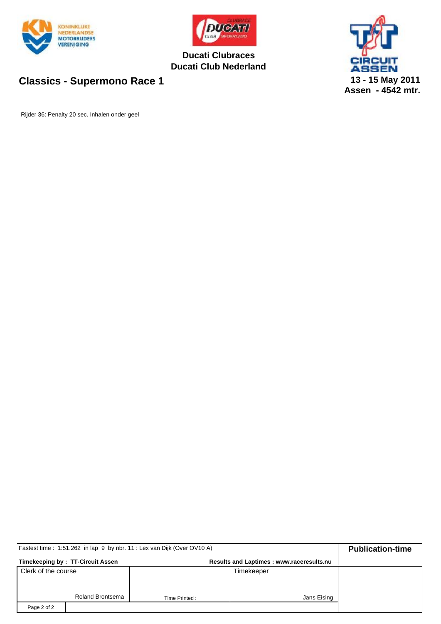



**Ducati Clubraces Ducati Club Nederland**



## **Classics - Supermono Race 1**

Rijder 36: Penalty 20 sec. Inhalen onder geel

| Fastest time: 1:51.262 in lap 9 by nbr. 11: Lex van Dijk (Over OV10 A) | <b>Publication-time</b> |               |             |  |
|------------------------------------------------------------------------|-------------------------|---------------|-------------|--|
| Timekeeping by: TT-Circuit Assen                                       |                         |               |             |  |
| Clerk of the course                                                    |                         |               | Timekeeper  |  |
|                                                                        |                         |               |             |  |
|                                                                        | Roland Brontsema        | Time Printed: | Jans Eising |  |
| Page 2 of 2                                                            |                         |               |             |  |